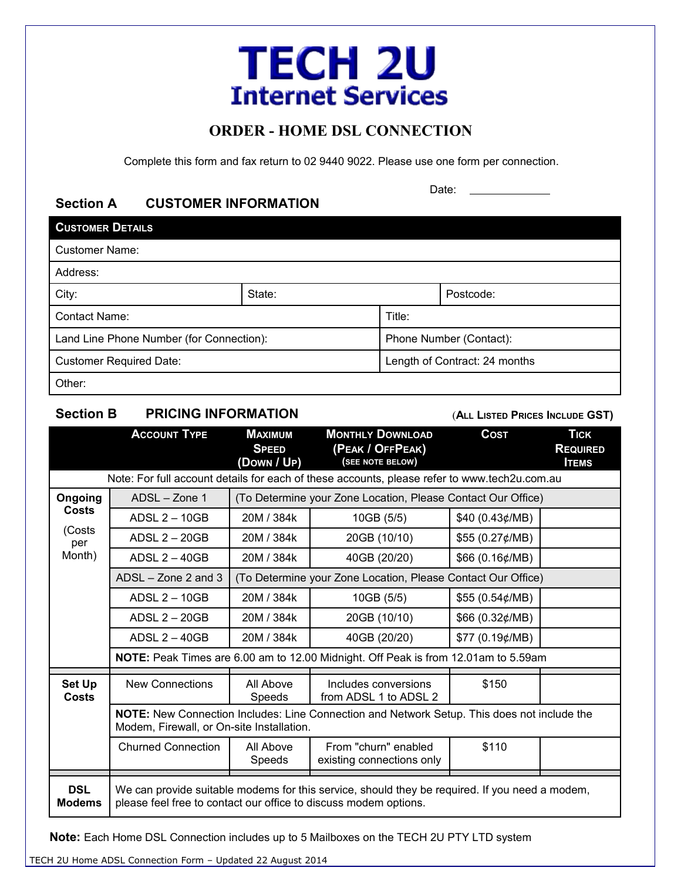# **TECH 2U Internet Services**

# **ORDER - HOME DSL CONNECTION**

Complete this form and fax return to 02 9440 9022. Please use one form per connection.

# **Section A CUSTOMER INFORMATION**

Date:

| <b>CUSTOMER DETAILS</b>                  |        |                               |           |  |  |
|------------------------------------------|--------|-------------------------------|-----------|--|--|
| <b>Customer Name:</b>                    |        |                               |           |  |  |
| Address:                                 |        |                               |           |  |  |
| City:                                    | State: |                               | Postcode: |  |  |
| Contact Name:                            |        | Title:                        |           |  |  |
| Land Line Phone Number (for Connection): |        | Phone Number (Contact):       |           |  |  |
| <b>Customer Required Date:</b>           |        | Length of Contract: 24 months |           |  |  |
| Other:                                   |        |                               |           |  |  |

## **Section B PRICING INFORMATION** (ALL LISTED PRICES INCLUDE GST)

|                                                    | <b>ACCOUNT TYPE</b>                                                                                                                      | <b>MAXIMUM</b><br><b>SPEED</b><br>(DOWN / UP)                | <b>MONTHLY DOWNLOAD</b><br>(PEAK / OFFPEAK)<br>(SEE NOTE BELOW)                                                                                                    | <b>COST</b>     | <b>TICK</b><br><b>REQUIRED</b><br><b>ITEMS</b> |  |  |
|----------------------------------------------------|------------------------------------------------------------------------------------------------------------------------------------------|--------------------------------------------------------------|--------------------------------------------------------------------------------------------------------------------------------------------------------------------|-----------------|------------------------------------------------|--|--|
|                                                    | Note: For full account details for each of these accounts, please refer to www.tech2u.com.au                                             |                                                              |                                                                                                                                                                    |                 |                                                |  |  |
| Ongoing<br><b>Costs</b><br>(Costs<br>per<br>Month) | $ADSL - Zone 1$                                                                                                                          | (To Determine your Zone Location, Please Contact Our Office) |                                                                                                                                                                    |                 |                                                |  |  |
|                                                    | ADSL $2 - 10GB$                                                                                                                          | 20M / 384k                                                   | 10GB (5/5)                                                                                                                                                         | \$40 (0.43¢/MB) |                                                |  |  |
|                                                    | ADSL $2 - 20GB$                                                                                                                          | 20M / 384k                                                   | 20GB (10/10)                                                                                                                                                       | \$55 (0.27¢/MB) |                                                |  |  |
|                                                    | ADSL $2 - 40GB$                                                                                                                          | 20M / 384k                                                   | 40GB (20/20)                                                                                                                                                       | \$66 (0.16¢/MB) |                                                |  |  |
|                                                    | $ADSL - Zone 2$ and 3<br>(To Determine your Zone Location, Please Contact Our Office)                                                    |                                                              |                                                                                                                                                                    |                 |                                                |  |  |
|                                                    | ADSL $2 - 10GB$                                                                                                                          | 20M / 384k                                                   | 10GB (5/5)                                                                                                                                                         | \$55 (0.54¢/MB) |                                                |  |  |
|                                                    | ADSL 2 - 20GB                                                                                                                            | 20M / 384k                                                   | 20GB (10/10)                                                                                                                                                       | \$66 (0.32¢/MB) |                                                |  |  |
|                                                    | ADSL $2 - 40GB$                                                                                                                          | 20M / 384k                                                   | 40GB (20/20)                                                                                                                                                       | \$77 (0.19¢/MB) |                                                |  |  |
|                                                    | NOTE: Peak Times are 6.00 am to 12.00 Midnight. Off Peak is from 12.01am to 5.59am                                                       |                                                              |                                                                                                                                                                    |                 |                                                |  |  |
| <b>Set Up</b><br><b>Costs</b>                      | <b>New Connections</b>                                                                                                                   | All Above<br>Speeds                                          | Includes conversions<br>from ADSL 1 to ADSL 2                                                                                                                      | \$150           |                                                |  |  |
|                                                    | NOTE: New Connection Includes: Line Connection and Network Setup. This does not include the<br>Modem, Firewall, or On-site Installation. |                                                              |                                                                                                                                                                    |                 |                                                |  |  |
|                                                    | <b>Churned Connection</b>                                                                                                                | All Above<br>Speeds                                          | From "churn" enabled<br>existing connections only                                                                                                                  | \$110           |                                                |  |  |
| <b>DSL</b><br><b>Modems</b>                        |                                                                                                                                          |                                                              | We can provide suitable modems for this service, should they be required. If you need a modem,<br>please feel free to contact our office to discuss modem options. |                 |                                                |  |  |

**Note:** Each Home DSL Connection includes up to 5 Mailboxes on the TECH 2U PTY LTD system